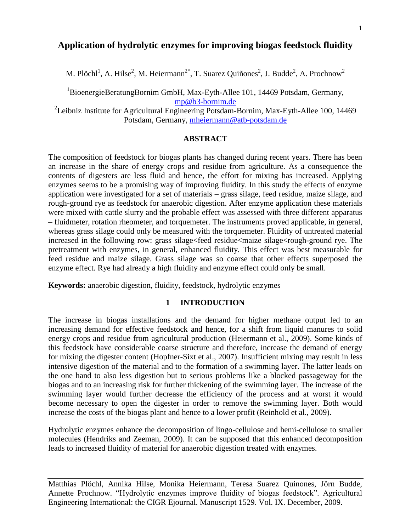# **Application of hydrolytic enzymes for improving biogas feedstock fluidity**

M. Plöchl<sup>1</sup>, A. Hilse<sup>2</sup>, M. Heiermann<sup>2\*</sup>, T. Suarez Quiñones<sup>2</sup>, J. Budde<sup>2</sup>, A. Prochnow<sup>2</sup>

<sup>1</sup>BioenergieBeratungBornim GmbH, Max-Eyth-Allee 101, 14469 Potsdam, Germany, [mp@b3-bornim.de](mailto:mp@b3%1Ebornim.de)

<sup>2</sup>Leibniz Institute for Agricultural Engineering Potsdam-Bornim, Max-Eyth-Allee 100, 14469 Potsdam, Germany, [mheiermann@atb-potsdam.de](mailto:mheiermann@atb-potsdam.de)

## **ABSTRACT**

The composition of feedstock for biogas plants has changed during recent years. There has been an increase in the share of energy crops and residue from agriculture. As a consequence the contents of digesters are less fluid and hence, the effort for mixing has increased. Applying enzymes seems to be a promising way of improving fluidity. In this study the effects of enzyme application were investigated for a set of materials – grass silage, feed residue, maize silage, and rough-ground rye as feedstock for anaerobic digestion. After enzyme application these materials were mixed with cattle slurry and the probable effect was assessed with three different apparatus – fluidmeter, rotation rheometer, and torquemeter. The instruments proved applicable, in general, whereas grass silage could only be measured with the torquemeter. Fluidity of untreated material increased in the following row: grass silage<feed residue<maize silage<rough-ground rye. The pretreatment with enzymes, in general, enhanced fluidity. This effect was best measurable for feed residue and maize silage. Grass silage was so coarse that other effects superposed the enzyme effect. Rye had already a high fluidity and enzyme effect could only be small.

**Keywords:** anaerobic digestion, fluidity, feedstock, hydrolytic enzymes

### **1 INTRODUCTION**

The increase in biogas installations and the demand for higher methane output led to an increasing demand for effective feedstock and hence, for a shift from liquid manures to solid energy crops and residue from agricultural production (Heiermann et al., 2009). Some kinds of this feedstock have considerable coarse structure and therefore, increase the demand of energy for mixing the digester content (Hopfner-Sixt et al., 2007). Insufficient mixing may result in less intensive digestion of the material and to the formation of a swimming layer. The latter leads on the one hand to also less digestion but to serious problems like a blocked passageway for the biogas and to an increasing risk for further thickening of the swimming layer. The increase of the swimming layer would further decrease the efficiency of the process and at worst it would become necessary to open the digester in order to remove the swimming layer. Both would increase the costs of the biogas plant and hence to a lower profit (Reinhold et al., 2009).

Hydrolytic enzymes enhance the decomposition of lingo-cellulose and hemi-cellulose to smaller molecules (Hendriks and Zeeman, 2009). It can be supposed that this enhanced decomposition leads to increased fluidity of material for anaerobic digestion treated with enzymes.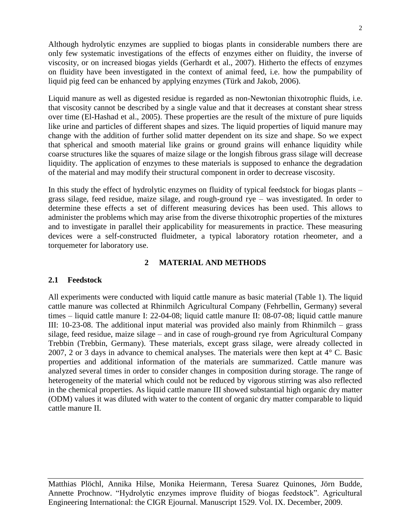Although hydrolytic enzymes are supplied to biogas plants in considerable numbers there are only few systematic investigations of the effects of enzymes either on fluidity, the inverse of viscosity, or on increased biogas yields (Gerhardt et al., 2007). Hitherto the effects of enzymes on fluidity have been investigated in the context of animal feed, i.e. how the pumpability of liquid pig feed can be enhanced by applying enzymes (Türk and Jakob, 2006).

Liquid manure as well as digested residue is regarded as non-Newtonian thixotrophic fluids, i.e. that viscosity cannot be described by a single value and that it decreases at constant shear stress over time (El-Hashad et al., 2005). These properties are the result of the mixture of pure liquids like urine and particles of different shapes and sizes. The liquid properties of liquid manure may change with the addition of further solid matter dependent on its size and shape. So we expect that spherical and smooth material like grains or ground grains will enhance liquidity while coarse structures like the squares of maize silage or the longish fibrous grass silage will decrease liquidity. The application of enzymes to these materials is supposed to enhance the degradation of the material and may modify their structural component in order to decrease viscosity.

In this study the effect of hydrolytic enzymes on fluidity of typical feedstock for biogas plants – grass silage, feed residue, maize silage, and rough-ground rye – was investigated. In order to determine these effects a set of different measuring devices has been used. This allows to administer the problems which may arise from the diverse thixotrophic properties of the mixtures and to investigate in parallel their applicability for measurements in practice. These measuring devices were a self-constructed fluidmeter, a typical laboratory rotation rheometer, and a torquemeter for laboratory use.

## **2 MATERIAL AND METHODS**

## **2.1 Feedstock**

All experiments were conducted with liquid cattle manure as basic material (Table 1). The liquid cattle manure was collected at Rhinmilch Agricultural Company (Fehrbellin, Germany) several times – liquid cattle manure I: 22-04-08; liquid cattle manure II: 08-07-08; liquid cattle manure III: 10-23-08. The additional input material was provided also mainly from Rhinmilch – grass silage, feed residue, maize silage – and in case of rough-ground rye from Agricultural Company Trebbin (Trebbin, Germany). These materials, except grass silage, were already collected in 2007, 2 or 3 days in advance to chemical analyses. The materials were then kept at 4° C. Basic properties and additional information of the materials are summarized. Cattle manure was analyzed several times in order to consider changes in composition during storage. The range of heterogeneity of the material which could not be reduced by vigorous stirring was also reflected in the chemical properties. As liquid cattle manure III showed substantial high organic dry matter (ODM) values it was diluted with water to the content of organic dry matter comparable to liquid cattle manure II.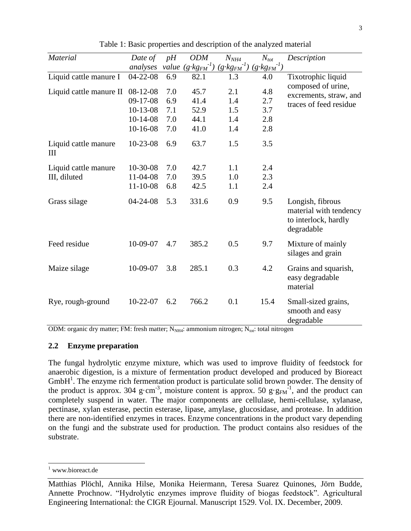| <b>Material</b>           | Date of                                                          | pH                              | <b>ODM</b>                           | $N_{NH4}$                       | $N_{tot}$                          | Description                                                                      |
|---------------------------|------------------------------------------------------------------|---------------------------------|--------------------------------------|---------------------------------|------------------------------------|----------------------------------------------------------------------------------|
|                           | analyses                                                         |                                 | value $(g \cdot kg_{FM}^{-1})$       | $(g \cdot kg_{FM}^{-1})$        | $(g\!\cdot\! k g_{FM}{}^{\!-\!1})$ |                                                                                  |
| Liquid cattle manure I    | $04 - 22 - 08$                                                   | 6.9                             | 82.1                                 | 1.3                             | 4.0                                | Tixotrophic liquid                                                               |
| Liquid cattle manure II   | 08-12-08<br>$09-17-08$<br>$10-13-08$<br>$10-14-08$<br>$10-16-08$ | 7.0<br>6.9<br>7.1<br>7.0<br>7.0 | 45.7<br>41.4<br>52.9<br>44.1<br>41.0 | 2.1<br>1.4<br>1.5<br>1.4<br>1.4 | 4.8<br>2.7<br>3.7<br>2.8<br>2.8    | composed of urine,<br>excrements, straw, and<br>traces of feed residue           |
| Liquid cattle manure<br>Ш | $10-23-08$                                                       | 6.9                             | 63.7                                 | 1.5                             | 3.5                                |                                                                                  |
| Liquid cattle manure      | 10-30-08                                                         | 7.0                             | 42.7                                 | 1.1                             | 2.4                                |                                                                                  |
| III, diluted              | 11-04-08                                                         | 7.0                             | 39.5                                 | 1.0                             | 2.3                                |                                                                                  |
|                           | $11 - 10 - 08$                                                   | 6.8                             | 42.5                                 | 1.1                             | 2.4                                |                                                                                  |
| Grass silage              | $04 - 24 - 08$                                                   | 5.3                             | 331.6                                | 0.9                             | 9.5                                | Longish, fibrous<br>material with tendency<br>to interlock, hardly<br>degradable |
| Feed residue              | 10-09-07                                                         | 4.7                             | 385.2                                | 0.5                             | 9.7                                | Mixture of mainly<br>silages and grain                                           |
| Maize silage              | 10-09-07                                                         | 3.8                             | 285.1                                | 0.3                             | 4.2                                | Grains and squarish,<br>easy degradable<br>material                              |
| Rye, rough-ground         | $10-22-07$                                                       | 6.2                             | 766.2                                | 0.1                             | 15.4                               | Small-sized grains,<br>smooth and easy<br>degradable                             |

Table 1: Basic properties and description of the analyzed material

ODM: organic dry matter; FM: fresh matter;  $N_{NH4}$ : ammonium nitrogen;  $N_{tot}$ : total nitrogen

## **2.2 Enzyme preparation**

The fungal hydrolytic enzyme mixture, which was used to improve fluidity of feedstock for anaerobic digestion, is a mixture of fermentation product developed and produced by Bioreact GmbH<sup>1</sup>. The enzyme rich fermentation product is particulate solid brown powder. The density of the product is approx. 304 g·cm<sup>-3</sup>, moisture content is approx. 50 g·g<sub>FM</sub><sup>-1</sup>, and the product can completely suspend in water. The major components are cellulase, hemi-cellulase, xylanase, pectinase, xylan esterase, pectin esterase, lipase, amylase, glucosidase, and protease. In addition there are non-identified enzymes in traces. Enzyme concentrations in the product vary depending on the fungi and the substrate used for production. The product contains also residues of the substrate.

1

<sup>&</sup>lt;sup>1</sup> www.bioreact.de

Matthias Plöchl, Annika Hilse, Monika Heiermann, Teresa Suarez Quinones, Jörn Budde, Annette Prochnow. "Hydrolytic enzymes improve fluidity of biogas feedstock". Agricultural Engineering International: the CIGR Ejournal. Manuscript 1529. Vol. IX. December, 2009.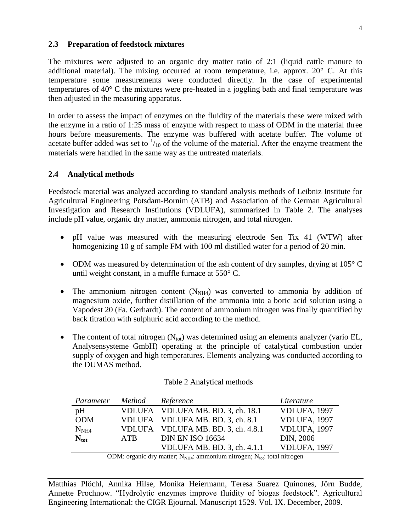### **2.3 Preparation of feedstock mixtures**

The mixtures were adjusted to an organic dry matter ratio of 2:1 (liquid cattle manure to additional material). The mixing occurred at room temperature, i.e. approx.  $20^{\circ}$  C. At this temperature some measurements were conducted directly. In the case of experimental temperatures of 40° C the mixtures were pre-heated in a joggling bath and final temperature was then adjusted in the measuring apparatus.

In order to assess the impact of enzymes on the fluidity of the materials these were mixed with the enzyme in a ratio of 1:25 mass of enzyme with respect to mass of ODM in the material three hours before measurements. The enzyme was buffered with acetate buffer. The volume of acetate buffer added was set to  $\frac{1}{10}$  of the volume of the material. After the enzyme treatment the materials were handled in the same way as the untreated materials.

## **2.4 Analytical methods**

Feedstock material was analyzed according to standard analysis methods of Leibniz Institute for Agricultural Engineering Potsdam-Bornim (ATB) and Association of the German Agricultural Investigation and Research Institutions (VDLUFA), summarized in Table 2. The analyses include pH value, organic dry matter, ammonia nitrogen, and total nitrogen.

- pH value was measured with the measuring electrode Sen Tix 41 (WTW) after homogenizing 10 g of sample FM with 100 ml distilled water for a period of 20 min.
- ODM was measured by determination of the ash content of dry samples, drying at  $105^{\circ}$  C until weight constant, in a muffle furnace at 550° C.
- The ammonium nitrogen content  $(N_{NH4})$  was converted to ammonia by addition of magnesium oxide, further distillation of the ammonia into a boric acid solution using a Vapodest 20 (Fa. Gerhardt). The content of ammonium nitrogen was finally quantified by back titration with sulphuric acid according to the method.
- The content of total nitrogen  $(N_{tot})$  was determined using an elements analyzer (vario EL, Analysensysteme GmbH) operating at the principle of catalytical combustion under supply of oxygen and high temperatures. Elements analyzing was conducted according to the DUMAS method.

| Parameter        | <i>Method</i> | Reference                          | Literature   |
|------------------|---------------|------------------------------------|--------------|
| pH               |               | VDLUFA VDLUFA MB. BD. 3, ch. 18.1  | VDLUFA, 1997 |
| <b>ODM</b>       |               | VDLUFA VDLUFA MB. BD. 3, ch. 8.1   | VDLUFA, 1997 |
| N <sub>NH4</sub> |               | VDLUFA VDLUFA MB. BD. 3, ch. 4.8.1 | VDLUFA, 1997 |
| $N_{\text{tot}}$ | ATB           | <b>DIN EN ISO 16634</b>            | DIN, 2006    |
|                  |               | VDLUFA MB. BD. 3, ch. 4.1.1        | VDLUFA, 1997 |

| Table 2 Analytical methods |  |  |
|----------------------------|--|--|
|----------------------------|--|--|

ODM: organic dry matter;  $N_{NH4}$ : ammonium nitrogen;  $N_{tot}$ : total nitrogen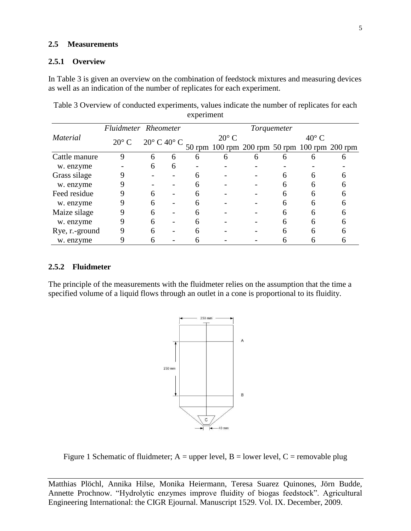### **2.5 Measurements**

#### **2.5.1 Overview**

In Table 3 is given an overview on the combination of feedstock mixtures and measuring devices as well as an indication of the number of replicates for each experiment.

|                 | Fluidmeter Rheometer |                               | Torquemeter |                |   |                                               |                |   |  |
|-----------------|----------------------|-------------------------------|-------------|----------------|---|-----------------------------------------------|----------------|---|--|
| <i>Material</i> | $20^{\circ}$ C       | $20^{\circ}$ C $40^{\circ}$ C |             | $20^{\circ}$ C |   |                                               | $40^{\circ}$ C |   |  |
|                 |                      |                               |             |                |   | 50 rpm 100 rpm 200 rpm 50 rpm 100 rpm 200 rpm |                |   |  |
| Cattle manure   | 9                    | 6                             | 6           | 6              | h | h                                             |                |   |  |
| w. enzyme       |                      | 6                             | 6           |                |   |                                               |                |   |  |
| Grass silage    |                      |                               |             | 6              |   |                                               | 6              |   |  |
| w. enzyme       |                      |                               |             |                |   |                                               |                |   |  |
| Feed residue    |                      | 6                             |             |                |   |                                               |                |   |  |
| w. enzyme       |                      | 6                             |             |                |   |                                               | h              | 6 |  |
| Maize silage    |                      | 6                             |             | 6              |   |                                               | 6              | 6 |  |
| w. enzyme       |                      |                               |             |                |   |                                               | h              |   |  |
| Rye, r.-ground  | Q                    |                               |             |                |   |                                               |                |   |  |
| w. enzyme       |                      |                               |             |                |   |                                               |                |   |  |

Table 3 Overview of conducted experiments, values indicate the number of replicates for each experiment

### **2.5.2 Fluidmeter**

The principle of the measurements with the fluidmeter relies on the assumption that the time a specified volume of a liquid flows through an outlet in a cone is proportional to its fluidity.



Figure 1 Schematic of fluidmeter;  $A = upper level$ ,  $B = lower level$ ,  $C = removable plug$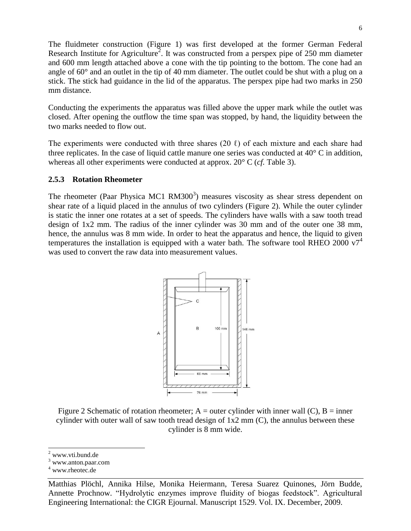The fluidmeter construction (Figure 1) was first developed at the former German Federal Research Institute for Agriculture<sup>2</sup>. It was constructed from a perspex pipe of 250 mm diameter and 600 mm length attached above a cone with the tip pointing to the bottom. The cone had an angle of 60° and an outlet in the tip of 40 mm diameter. The outlet could be shut with a plug on a stick. The stick had guidance in the lid of the apparatus. The perspex pipe had two marks in 250 mm distance.

Conducting the experiments the apparatus was filled above the upper mark while the outlet was closed. After opening the outflow the time span was stopped, by hand, the liquidity between the two marks needed to flow out.

The experiments were conducted with three shares (20  $\ell$ ) of each mixture and each share had three replicates. In the case of liquid cattle manure one series was conducted at  $40^{\circ}$  C in addition, whereas all other experiments were conducted at approx. 20° C (*cf.* Table 3).

## **2.5.3 Rotation Rheometer**

The rheometer (Paar Physica MC1 RM300 $3$ ) measures viscosity as shear stress dependent on shear rate of a liquid placed in the annulus of two cylinders (Figure 2). While the outer cylinder is static the inner one rotates at a set of speeds. The cylinders have walls with a saw tooth tread design of 1x2 mm. The radius of the inner cylinder was 30 mm and of the outer one 38 mm, hence, the annulus was 8 mm wide. In order to heat the apparatus and hence, the liquid to given temperatures the installation is equipped with a water bath. The software tool RHEO 2000  $v7^4$ was used to convert the raw data into measurement values.



Figure 2 Schematic of rotation rheometer; A = outer cylinder with inner wall (C), B = inner cylinder with outer wall of saw tooth tread design of  $1x2 \text{ mm}$  (C), the annulus between these cylinder is 8 mm wide.

<sup>1</sup> www.vti.bund.de

<sup>3</sup> www.anton.paar.com

<sup>4</sup> www.rheotec.de

Matthias Plöchl, Annika Hilse, Monika Heiermann, Teresa Suarez Quinones, Jörn Budde, Annette Prochnow. "Hydrolytic enzymes improve fluidity of biogas feedstock". Agricultural Engineering International: the CIGR Ejournal. Manuscript 1529. Vol. IX. December, 2009.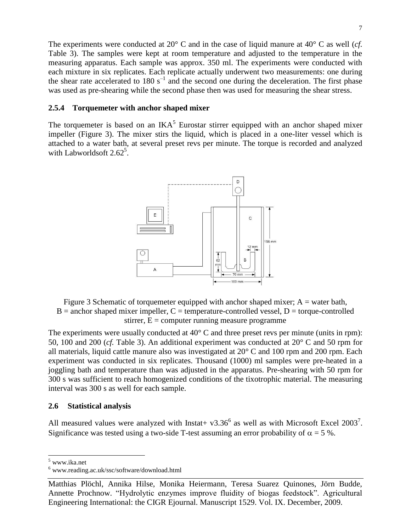The experiments were conducted at 20° C and in the case of liquid manure at 40° C as well (*cf.*) Table 3). The samples were kept at room temperature and adjusted to the temperature in the measuring apparatus. Each sample was approx. 350 ml. The experiments were conducted with each mixture in six replicates. Each replicate actually underwent two measurements: one during the shear rate accelerated to 180  $s^{-1}$  and the second one during the deceleration. The first phase was used as pre-shearing while the second phase then was used for measuring the shear stress.

### **2.5.4 Torquemeter with anchor shaped mixer**

The torquemeter is based on an  $IKA<sup>5</sup>$  Eurostar stirrer equipped with an anchor shaped mixer impeller (Figure 3). The mixer stirs the liquid, which is placed in a one-liter vessel which is attached to a water bath, at several preset revs per minute. The torque is recorded and analyzed with Labworldsoft  $2.62^5$  $2.62^5$ .

<span id="page-6-0"></span>

Figure 3 Schematic of torquemeter equipped with anchor shaped mixer;  $A =$  water bath,  $B =$  anchor shaped mixer impeller,  $C =$  temperature-controlled vessel,  $D =$  torque-controlled stirrer,  $E =$  computer running measure programme

The experiments were usually conducted at 40 $\degree$  C and three preset revs per minute (units in rpm): 50, 100 and 200 (*cf.* Table 3). An additional experiment was conducted at 20° C and 50 rpm for all materials, liquid cattle manure also was investigated at 20° C and 100 rpm and 200 rpm. Each experiment was conducted in six replicates. Thousand (1000) ml samples were pre-heated in a joggling bath and temperature than was adjusted in the apparatus. Pre-shearing with 50 rpm for 300 s was sufficient to reach homogenized conditions of the tixotrophic material. The measuring interval was 300 s as well for each sample.

### **2.6 Statistical analysis**

All measured values were analyzed with Instat +  $v3.36^6$  as well as with Microsoft Excel 2003<sup>7</sup>. Significance was tested using a two-side T-test assuming an error probability of  $\alpha = 5$ %.

-

<sup>5</sup> www.ika.net

 $^6$ www.reading.ac.uk/ssc/software/download.html

Matthias Plöchl, Annika Hilse, Monika Heiermann, Teresa Suarez Quinones, Jörn Budde, Annette Prochnow. "Hydrolytic enzymes improve fluidity of biogas feedstock". Agricultural Engineering International: the CIGR Ejournal. Manuscript 1529. Vol. IX. December, 2009.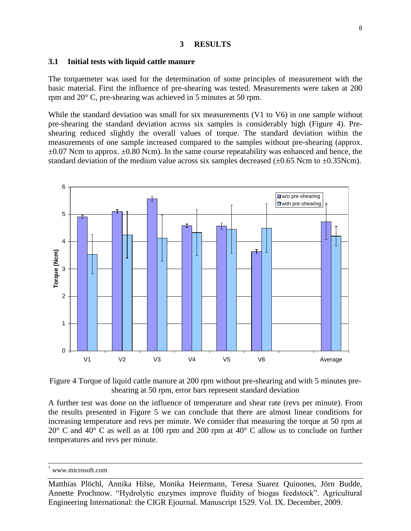#### **3 RESULTS**

#### **3.1 Initial tests with liquid cattle manure**

The torquemeter was used for the determination of some principles of measurement with the basic material. First the influence of pre-shearing was tested. Measurements were taken at 200 rpm and  $20^{\circ}$  C, pre-shearing was achieved in 5 minutes at 50 rpm.

While the standard deviation was small for six measurements (V1 to V6) in one sample without pre-shearing the standard deviation across six samples is considerably high (Figure 4). Preshearing reduced slightly the overall values of torque. The standard deviation within the measurements of one sample increased compared to the samples without pre-shearing (approx.  $\pm 0.07$  Ncm to approx.  $\pm 0.80$  Ncm). In the same course repeatability was enhanced and hence, the standard deviation of the medium value across six samples decreased ( $\pm 0.65$  Ncm to  $\pm 0.35$ Ncm).



Figure 4 Torque of liquid cattle manure at 200 rpm without pre-shearing and with 5 minutes preshearing at 50 rpm, error bars represent standard deviation

A further test was done on the influence of temperature and shear rate (revs per minute). From the results presented in Figure 5 we can conclude that there are almost linear conditions for increasing temperature and revs per minute. We consider that measuring the torque at 50 rpm at 20° C and 40° C as well as at 100 rpm and 200 rpm at 40° C allow us to conclude on further temperatures and revs per minute.

1

<sup>7</sup> www.microsoft.com

Matthias Plöchl, Annika Hilse, Monika Heiermann, Teresa Suarez Quinones, Jörn Budde, Annette Prochnow. "Hydrolytic enzymes improve fluidity of biogas feedstock". Agricultural Engineering International: the CIGR Ejournal. Manuscript 1529. Vol. IX. December, 2009.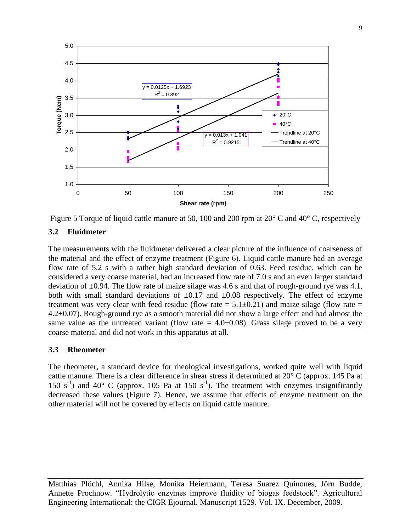

Figure 5 Torque of liquid cattle manure at 50, 100 and 200 rpm at 20° C and 40° C, respectively

### **3.2 Fluidmeter**

The measurements with the fluidmeter delivered a clear picture of the influence of coarseness of the material and the effect of enzyme treatment (Figure 6). Liquid cattle manure had an average flow rate of 5.2 s with a rather high standard deviation of 0.63. Feed residue, which can be considered a very coarse material, had an increased flow rate of 7.0 s and an even larger standard deviation of  $\pm 0.94$ . The flow rate of maize silage was 4.6 s and that of rough-ground rye was 4.1, both with small standard deviations of  $\pm 0.17$  and  $\pm 0.08$  respectively. The effect of enzyme treatment was very clear with feed residue (flow rate  $= 5.1 \pm 0.21$ ) and maize silage (flow rate  $=$ 4.2±0.07). Rough-ground rye as a smooth material did not show a large effect and had almost the same value as the untreated variant (flow rate  $= 4.0 \pm 0.08$ ). Grass silage proved to be a very coarse material and did not work in this apparatus at all.

### **3.3 Rheometer**

The rheometer, a standard device for rheological investigations, worked quite well with liquid cattle manure. There is a clear difference in shear stress if determined at 20° C (approx. 145 Pa at 150 s<sup>-1</sup>) and 40° C (approx. 105 Pa at 150 s<sup>-1</sup>). The treatment with enzymes insignificantly decreased these values (Figure 7). Hence, we assume that effects of enzyme treatment on the other material will not be covered by effects on liquid cattle manure.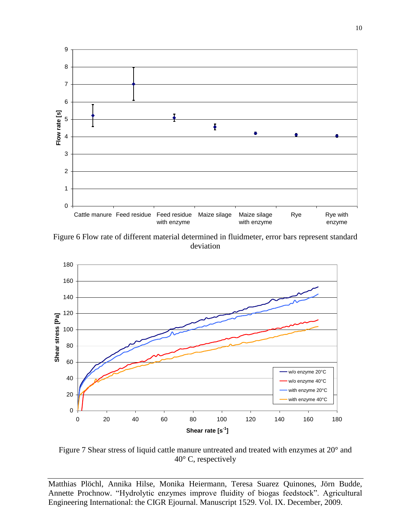

Figure 6 Flow rate of different material determined in fluidmeter, error bars represent standard deviation



Figure 7 Shear stress of liquid cattle manure untreated and treated with enzymes at 20° and 40° C, respectively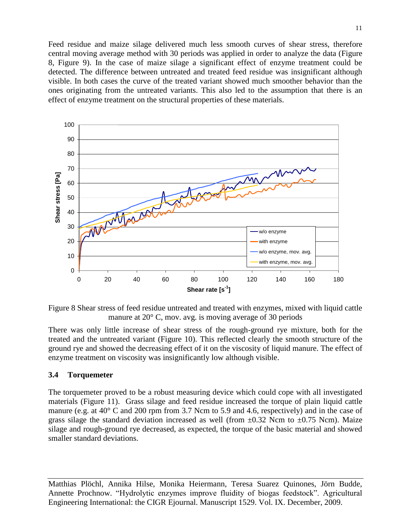Feed residue and maize silage delivered much less smooth curves of shear stress, therefore central moving average method with 30 periods was applied in order to analyze the data (Figure 8, Figure 9). In the case of maize silage a significant effect of enzyme treatment could be detected. The difference between untreated and treated feed residue was insignificant although visible. In both cases the curve of the treated variant showed much smoother behavior than the ones originating from the untreated variants. This also led to the assumption that there is an effect of enzyme treatment on the structural properties of these materials.



Figure 8 Shear stress of feed residue untreated and treated with enzymes, mixed with liquid cattle manure at 20° C, mov. avg. is moving average of 30 periods

There was only little increase of shear stress of the rough-ground rye mixture, both for the treated and the untreated variant (Figure 10). This reflected clearly the smooth structure of the ground rye and showed the decreasing effect of it on the viscosity of liquid manure. The effect of enzyme treatment on viscosity was insignificantly low although visible.

### **3.4 Torquemeter**

The torquemeter proved to be a robust measuring device which could cope with all investigated materials (Figure 11). Grass silage and feed residue increased the torque of plain liquid cattle manure (e.g. at  $40^{\circ}$  C and 200 rpm from 3.7 Ncm to 5.9 and 4.6, respectively) and in the case of grass silage the standard deviation increased as well (from  $\pm 0.32$  Ncm to  $\pm 0.75$  Ncm). Maize silage and rough-ground rye decreased, as expected, the torque of the basic material and showed smaller standard deviations.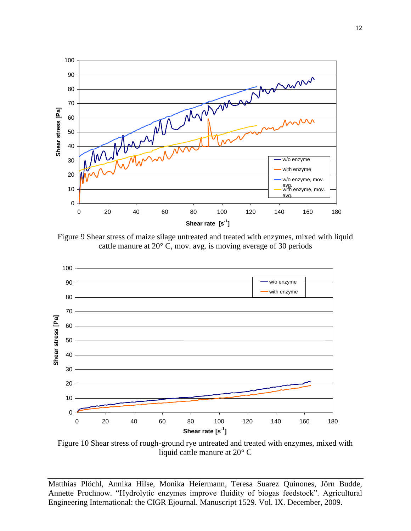

Figure 9 Shear stress of maize silage untreated and treated with enzymes, mixed with liquid cattle manure at 20° C, mov. avg. is moving average of 30 periods



Figure 10 Shear stress of rough-ground rye untreated and treated with enzymes, mixed with liquid cattle manure at 20° C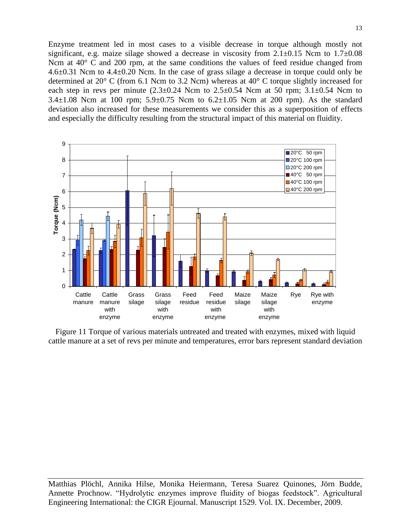Enzyme treatment led in most cases to a visible decrease in torque although mostly not significant, e.g. maize silage showed a decrease in viscosity from  $2.1 \pm 0.15$  Ncm to  $1.7 \pm 0.08$ Ncm at 40 $\degree$  C and 200 rpm, at the same conditions the values of feed residue changed from 4.6 $\pm$ 0.31 Ncm to 4.4 $\pm$ 0.20 Ncm. In the case of grass silage a decrease in torque could only be determined at 20° C (from 6.1 Ncm to 3.2 Ncm) whereas at 40° C torque slightly increased for each step in revs per minute  $(2.3\pm0.24$  Ncm to  $2.5\pm0.54$  Ncm at 50 rpm;  $3.1\pm0.54$  Ncm to 3.4 $\pm$ 1.08 Ncm at 100 rpm; 5.9 $\pm$ 0.75 Ncm to 6.2 $\pm$ 1.05 Ncm at 200 rpm). As the standard deviation also increased for these measurements we consider this as a superposition of effects and especially the difficulty resulting from the structural impact of this material on fluidity.



Figure 11 Torque of various materials untreated and treated with enzymes, mixed with liquid cattle manure at a set of revs per minute and temperatures, error bars represent standard deviation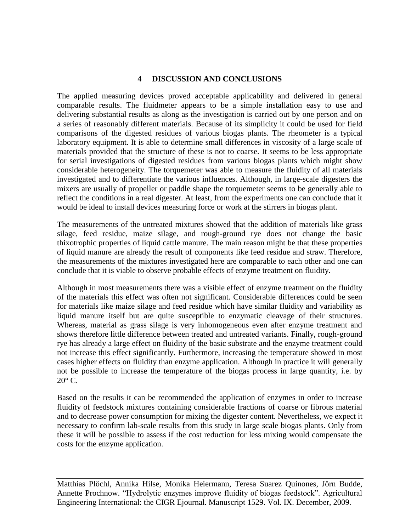## **4 DISCUSSION AND CONCLUSIONS**

The applied measuring devices proved acceptable applicability and delivered in general comparable results. The fluidmeter appears to be a simple installation easy to use and delivering substantial results as along as the investigation is carried out by one person and on a series of reasonably different materials. Because of its simplicity it could be used for field comparisons of the digested residues of various biogas plants. The rheometer is a typical laboratory equipment. It is able to determine small differences in viscosity of a large scale of materials provided that the structure of these is not to coarse. It seems to be less appropriate for serial investigations of digested residues from various biogas plants which might show considerable heterogeneity. The torquemeter was able to measure the fluidity of all materials investigated and to differentiate the various influences. Although, in large-scale digesters the mixers are usually of propeller or paddle shape the torquemeter seems to be generally able to reflect the conditions in a real digester. At least, from the experiments one can conclude that it would be ideal to install devices measuring force or work at the stirrers in biogas plant.

The measurements of the untreated mixtures showed that the addition of materials like grass silage, feed residue, maize silage, and rough-ground rye does not change the basic thixotrophic properties of liquid cattle manure. The main reason might be that these properties of liquid manure are already the result of components like feed residue and straw. Therefore, the measurements of the mixtures investigated here are comparable to each other and one can conclude that it is viable to observe probable effects of enzyme treatment on fluidity.

Although in most measurements there was a visible effect of enzyme treatment on the fluidity of the materials this effect was often not significant. Considerable differences could be seen for materials like maize silage and feed residue which have similar fluidity and variability as liquid manure itself but are quite susceptible to enzymatic cleavage of their structures. Whereas, material as grass silage is very inhomogeneous even after enzyme treatment and shows therefore little difference between treated and untreated variants. Finally, rough-ground rye has already a large effect on fluidity of the basic substrate and the enzyme treatment could not increase this effect significantly. Furthermore, increasing the temperature showed in most cases higher effects on fluidity than enzyme application. Although in practice it will generally not be possible to increase the temperature of the biogas process in large quantity, i.e. by  $20^{\circ}$  C.

Based on the results it can be recommended the application of enzymes in order to increase fluidity of feedstock mixtures containing considerable fractions of coarse or fibrous material and to decrease power consumption for mixing the digester content. Nevertheless, we expect it necessary to confirm lab-scale results from this study in large scale biogas plants. Only from these it will be possible to assess if the cost reduction for less mixing would compensate the costs for the enzyme application.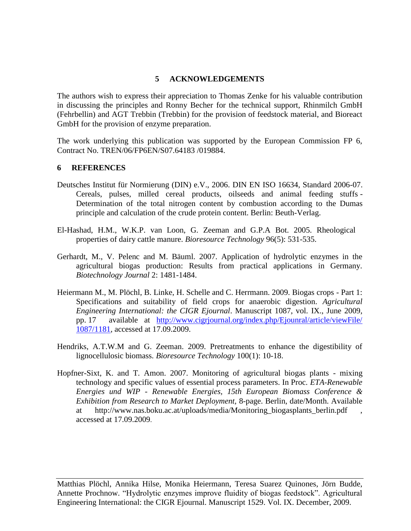# **5 ACKNOWLEDGEMENTS**

The authors wish to express their appreciation to Thomas Zenke for his valuable contribution in discussing the principles and Ronny Becher for the technical support, Rhinmilch GmbH (Fehrbellin) and AGT Trebbin (Trebbin) for the provision of feedstock material, and Bioreact GmbH for the provision of enzyme preparation.

The work underlying this publication was supported by the European Commission FP 6, Contract No. TREN/06/FP6EN/S07.64183 /019884.

## **6 REFERENCES**

- Deutsches Institut für Normierung (DIN) e.V., 2006. DIN EN ISO 16634, Standard 2006-07. Cereals, pulses, milled cereal products, oilseeds and animal feeding stuffs - Determination of the total nitrogen content by combustion according to the Dumas principle and calculation of the crude protein content. Berlin: Beuth-Verlag.
- El-Hashad, H.M., W.K.P. van Loon, G. Zeeman and G.P.A Bot. 2005. Rheological properties of dairy cattle manure. *Bioresource Technology* 96(5): 531-535.
- Gerhardt, M., V. Pelenc and M. Bäuml. 2007. Application of hydrolytic enzymes in the agricultural biogas production: Results from practical applications in Germany. *Biotechnology Journal* 2: 1481-1484.
- Heiermann M., M. Plöchl, B. Linke, H. Schelle and C. Herrmann. 2009. Biogas crops Part 1: Specifications and suitability of field crops for anaerobic digestion. *Agricultural Engineering International: the CIGR Ejournal*. Manuscript 1087, vol. IX., June 2009, pp. 17 available at [http://www.cigrjournal.org/index.php/Ejounral/article/viewFile/](http://www.cigrjournal.org/index.php/Ejounral/article/viewFile/%201087/1181)  [1087/1181,](http://www.cigrjournal.org/index.php/Ejounral/article/viewFile/%201087/1181) accessed at 17.09.2009.
- Hendriks, A.T.W.M and G. Zeeman. 2009. Pretreatments to enhance the digestibility of lignocellulosic biomass. *Bioresource Technology* 100(1): 10-18.
- Hopfner-Sixt, K. and T. Amon. 2007. Monitoring of agricultural biogas plants mixing technology and specific values of essential process parameters. In Proc. *ETA-Renewable Energies und WIP - Renewable Energies, 15th European Biomass Conference & Exhibition from Research to Market Deployment,* 8-page. Berlin, date/Month. Available at http://www.nas.boku.ac.at/uploads/media/Monitoring biogasplants berlin.pdf accessed at 17.09.2009.